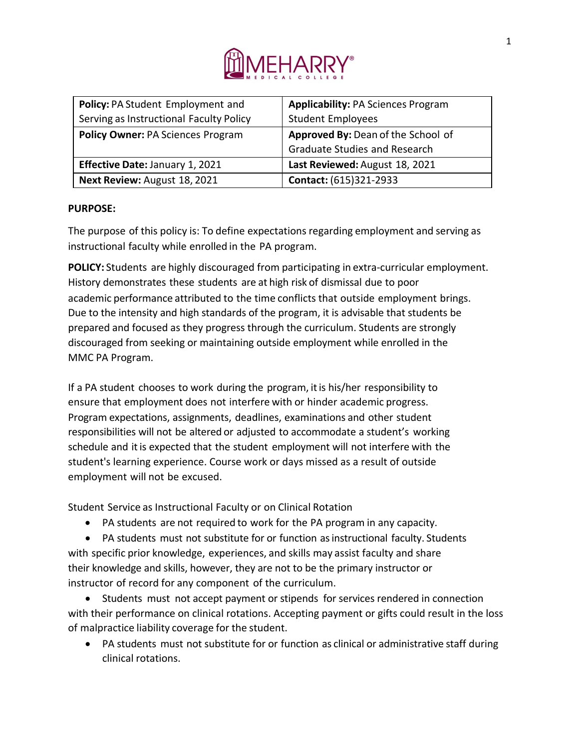

| Policy: PA Student Employment and        | <b>Applicability: PA Sciences Program</b> |
|------------------------------------------|-------------------------------------------|
| Serving as Instructional Faculty Policy  | <b>Student Employees</b>                  |
| <b>Policy Owner: PA Sciences Program</b> | Approved By: Dean of the School of        |
|                                          | <b>Graduate Studies and Research</b>      |
| Effective Date: January 1, 2021          | Last Reviewed: August 18, 2021            |
| Next Review: August 18, 2021             | Contact: (615)321-2933                    |

## **PURPOSE:**

The purpose of this policy is: To define expectations regarding employment and serving as instructional faculty while enrolled in the PA program.

**POLICY:** Students are highly discouraged from participating in extra-curricular employment. History demonstrates these students are at high risk of dismissal due to poor academic performance attributed to the time conflicts that outside employment brings. Due to the intensity and high standards of the program, it is advisable that students be prepared and focused as they progress through the curriculum. Students are strongly discouraged from seeking or maintaining outside employment while enrolled in the MMC PA Program.

If a PA student chooses to work during the program, itis his/her responsibility to ensure that employment does not interfere with or hinder academic progress. Program expectations, assignments, deadlines, examinations and other student responsibilities will not be altered or adjusted to accommodate a student's working schedule and itis expected that the student employment will not interfere with the student's learning experience. Course work or days missed as a result of outside employment will not be excused.

Student Service as Instructional Faculty or on Clinical Rotation

• PA students are not required to work for the PA program in any capacity.

• PA students must not substitute for or function as instructional faculty. Students with specific prior knowledge, experiences, and skills may assist faculty and share their knowledge and skills, however, they are not to be the primary instructor or instructor of record for any component of the curriculum.

• Students must not accept payment or stipends for services rendered in connection with their performance on clinical rotations. Accepting payment or gifts could result in the loss of malpractice liability coverage for the student.

• PA students must not substitute for or function as clinical or administrative staff during clinical rotations.